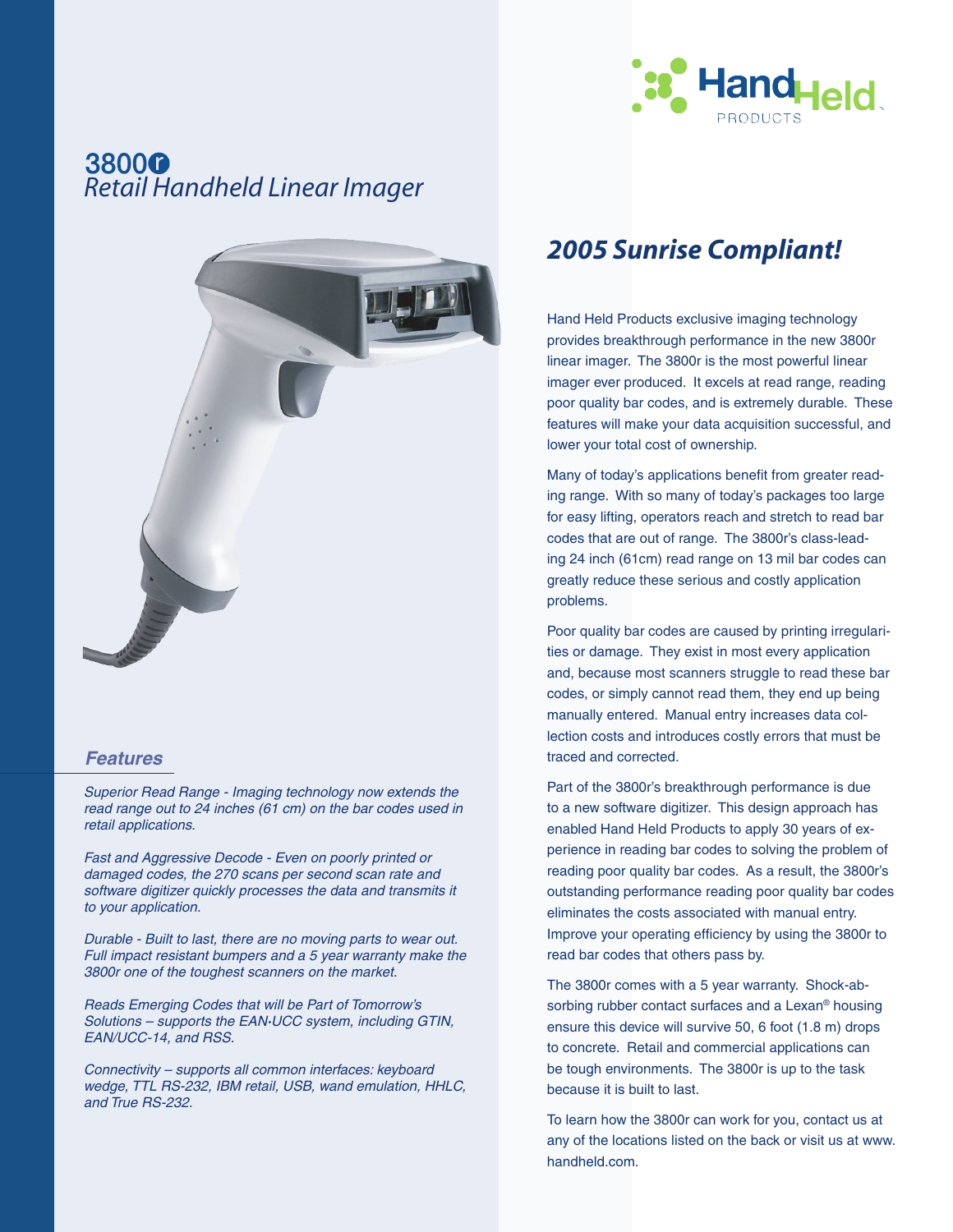

# *Retail Handheld Linear Imager*



### *Features*

*Superior Read Range - Imaging technology now extends the read range out to 24 inches (61 cm) on the bar codes used in retail applications.*

*Fast and Aggressive Decode - Even on poorly printed or damaged codes, the 270 scans per second scan rate and software digitizer quickly processes the data and transmits it to your application.*

*Durable - Built to last, there are no moving parts to wear out. Full impact resistant bumpers and a 5 year warranty make the 3800r one of the toughest scanners on the market.* 

*Reads Emerging Codes that will be Part of Tomorrow's Solutions – supports the EAN·UCC system, including GTIN, EAN/UCC-14, and RSS.*

*Connectivity – supports all common interfaces: keyboard wedge, TTL RS-232, IBM retail, USB, wand emulation, HHLC, and True RS-232.*

### *2005 Sunrise Compliant!*

Hand Held Products exclusive imaging technology provides breakthrough performance in the new 3800r linear imager. The 3800r is the most powerful linear imager ever produced. It excels at read range, reading poor quality bar codes, and is extremely durable. These features will make your data acquisition successful, and lower your total cost of ownership.

Many of today's applications benefit from greater reading range. With so many of today's packages too large for easy lifting, operators reach and stretch to read bar codes that are out of range. The 3800r's class-leading 24 inch (61cm) read range on 13 mil bar codes can greatly reduce these serious and costly application problems.

Poor quality bar codes are caused by printing irregularities or damage. They exist in most every application and, because most scanners struggle to read these bar codes, or simply cannot read them, they end up being manually entered. Manual entry increases data collection costs and introduces costly errors that must be traced and corrected.

Part of the 3800r's breakthrough performance is due to a new software digitizer. This design approach has enabled Hand Held Products to apply 30 years of experience in reading bar codes to solving the problem of reading poor quality bar codes. As a result, the 3800r's outstanding performance reading poor quality bar codes eliminates the costs associated with manual entry. Improve your operating efficiency by using the 3800r to read bar codes that others pass by.

The 3800r comes with a 5 year warranty. Shock-absorbing rubber contact surfaces and a Lexan® housing ensure this device will survive 50, 6 foot (1.8 m) drops to concrete. Retail and commercial applications can be tough environments. The 3800r is up to the task because it is built to last.

To learn how the 3800r can work for you, contact us at any of the locations listed on the back or visit us at www. handheld.com.